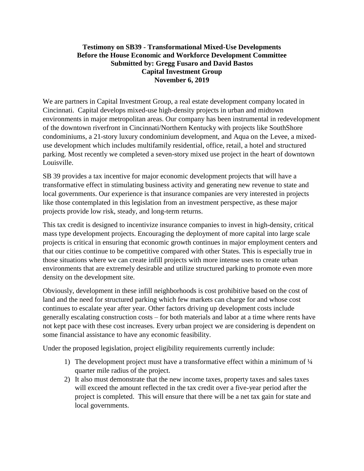## **Testimony on SB39 - Transformational Mixed-Use Developments Before the House Economic and Workforce Development Committee Submitted by: Gregg Fusaro and David Bastos Capital Investment Group November 6, 2019**

We are partners in Capital Investment Group, a real estate development company located in Cincinnati. Capital develops mixed-use high-density projects in urban and midtown environments in major metropolitan areas. Our company has been instrumental in redevelopment of the downtown riverfront in Cincinnati/Northern Kentucky with projects like SouthShore condominiums, a 21-story luxury condominium development, and Aqua on the Levee, a mixeduse development which includes multifamily residential, office, retail, a hotel and structured parking. Most recently we completed a seven-story mixed use project in the heart of downtown Louisville.

SB 39 provides a tax incentive for major economic development projects that will have a transformative effect in stimulating business activity and generating new revenue to state and local governments. Our experience is that insurance companies are very interested in projects like those contemplated in this legislation from an investment perspective, as these major projects provide low risk, steady, and long-term returns.

This tax credit is designed to incentivize insurance companies to invest in high-density, critical mass type development projects. Encouraging the deployment of more capital into large scale projects is critical in ensuring that economic growth continues in major employment centers and that our cities continue to be competitive compared with other States. This is especially true in those situations where we can create infill projects with more intense uses to create urban environments that are extremely desirable and utilize structured parking to promote even more density on the development site.

Obviously, development in these infill neighborhoods is cost prohibitive based on the cost of land and the need for structured parking which few markets can charge for and whose cost continues to escalate year after year. Other factors driving up development costs include generally escalating construction costs – for both materials and labor at a time where rents have not kept pace with these cost increases. Every urban project we are considering is dependent on some financial assistance to have any economic feasibility.

Under the proposed legislation, project eligibility requirements currently include:

- 1) The development project must have a transformative effect within a minimum of ¼ quarter mile radius of the project.
- 2) It also must demonstrate that the new income taxes, property taxes and sales taxes will exceed the amount reflected in the tax credit over a five-year period after the project is completed. This will ensure that there will be a net tax gain for state and local governments.